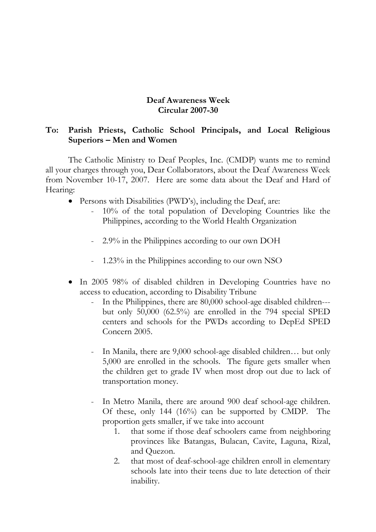## **Deaf Awareness Week Circular 2007-30**

## **To: Parish Priests, Catholic School Principals, and Local Religious Superiors – Men and Women**

The Catholic Ministry to Deaf Peoples, Inc. (CMDP) wants me to remind all your charges through you, Dear Collaborators, about the Deaf Awareness Week from November 10-17, 2007. Here are some data about the Deaf and Hard of Hearing:

- Persons with Disabilities (PWD's), including the Deaf, are:
	- 10% of the total population of Developing Countries like the Philippines, according to the World Health Organization
	- 2.9% in the Philippines according to our own DOH
	- 1.23% in the Philippines according to our own NSO
- In 2005 98% of disabled children in Developing Countries have no access to education, according to Disability Tribune
	- In the Philippines, there are 80,000 school-age disabled children-- but only 50,000 (62.5%) are enrolled in the 794 special SPED centers and schools for the PWDs according to DepEd SPED Concern 2005.
	- In Manila, there are 9,000 school-age disabled children… but only 5,000 are enrolled in the schools. The figure gets smaller when the children get to grade IV when most drop out due to lack of transportation money.
	- In Metro Manila, there are around 900 deaf school-age children. Of these, only 144 (16%) can be supported by CMDP. The proportion gets smaller, if we take into account
		- 1. that some if those deaf schoolers came from neighboring provinces like Batangas, Bulacan, Cavite, Laguna, Rizal, and Quezon.
		- 2. that most of deaf-school-age children enroll in elementary schools late into their teens due to late detection of their inability.